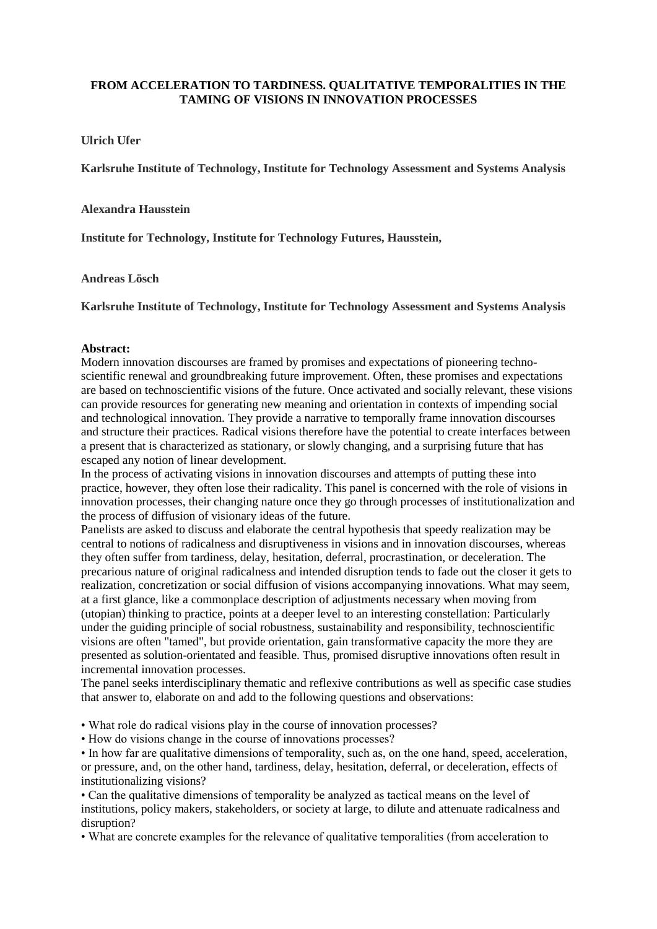## **FROM ACCELERATION TO TARDINESS. QUALITATIVE TEMPORALITIES IN THE TAMING OF VISIONS IN INNOVATION PROCESSES**

## **Ulrich Ufer**

**Karlsruhe Institute of Technology, Institute for Technology Assessment and Systems Analysis**

#### **Alexandra Hausstein**

**Institute for Technology, Institute for Technology Futures, Hausstein,** 

#### **Andreas Lösch**

**Karlsruhe Institute of Technology, Institute for Technology Assessment and Systems Analysis**

## **Abstract:**

Modern innovation discourses are framed by promises and expectations of pioneering technoscientific renewal and groundbreaking future improvement. Often, these promises and expectations are based on technoscientific visions of the future. Once activated and socially relevant, these visions can provide resources for generating new meaning and orientation in contexts of impending social and technological innovation. They provide a narrative to temporally frame innovation discourses and structure their practices. Radical visions therefore have the potential to create interfaces between a present that is characterized as stationary, or slowly changing, and a surprising future that has escaped any notion of linear development.

In the process of activating visions in innovation discourses and attempts of putting these into practice, however, they often lose their radicality. This panel is concerned with the role of visions in innovation processes, their changing nature once they go through processes of institutionalization and the process of diffusion of visionary ideas of the future.

Panelists are asked to discuss and elaborate the central hypothesis that speedy realization may be central to notions of radicalness and disruptiveness in visions and in innovation discourses, whereas they often suffer from tardiness, delay, hesitation, deferral, procrastination, or deceleration. The precarious nature of original radicalness and intended disruption tends to fade out the closer it gets to realization, concretization or social diffusion of visions accompanying innovations. What may seem, at a first glance, like a commonplace description of adjustments necessary when moving from (utopian) thinking to practice, points at a deeper level to an interesting constellation: Particularly under the guiding principle of social robustness, sustainability and responsibility, technoscientific visions are often "tamed", but provide orientation, gain transformative capacity the more they are presented as solution-orientated and feasible. Thus, promised disruptive innovations often result in incremental innovation processes.

The panel seeks interdisciplinary thematic and reflexive contributions as well as specific case studies that answer to, elaborate on and add to the following questions and observations:

• What role do radical visions play in the course of innovation processes?

• How do visions change in the course of innovations processes?

• In how far are qualitative dimensions of temporality, such as, on the one hand, speed, acceleration, or pressure, and, on the other hand, tardiness, delay, hesitation, deferral, or deceleration, effects of institutionalizing visions?

• Can the qualitative dimensions of temporality be analyzed as tactical means on the level of institutions, policy makers, stakeholders, or society at large, to dilute and attenuate radicalness and disruption?

• What are concrete examples for the relevance of qualitative temporalities (from acceleration to